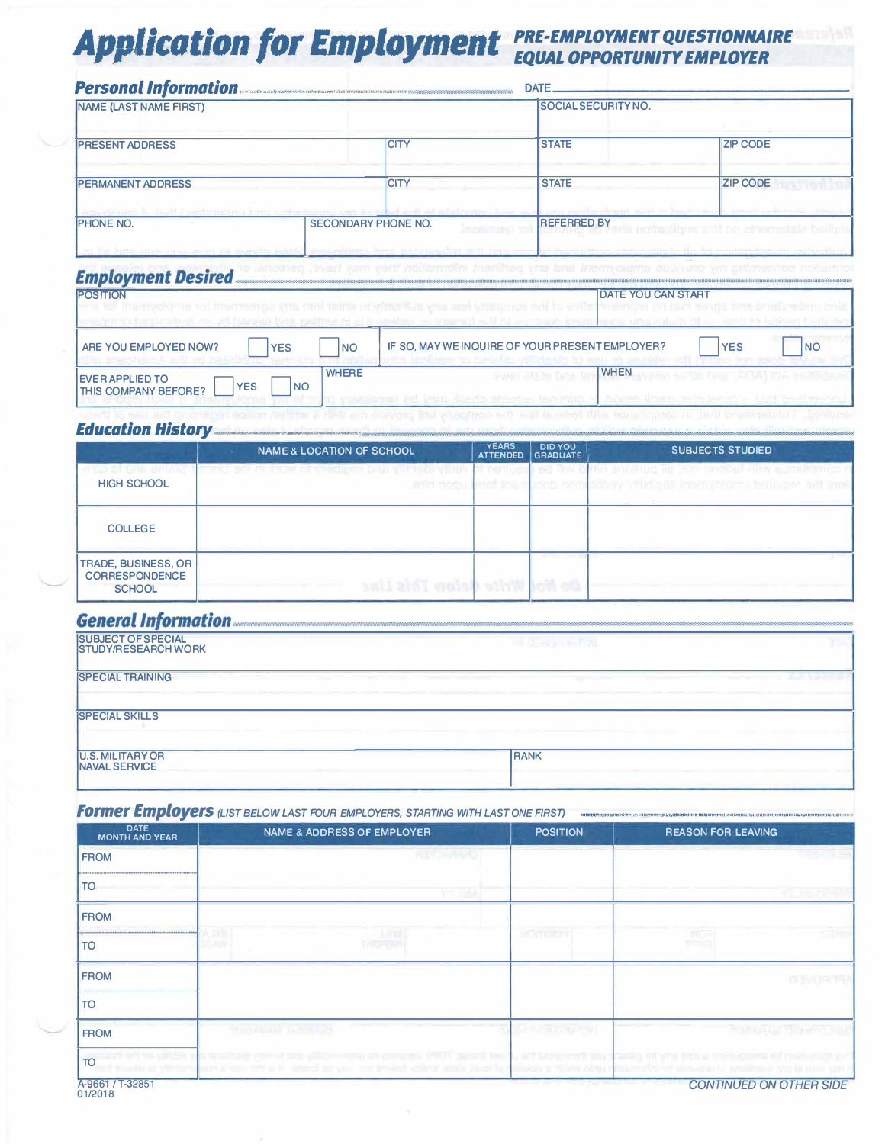# **Application for Employment** PRE-EMPLOYMENT QUESTIONNAIRE

|                               | Personal Information                                                                                                                         | DATE.                                               |                                                               |
|-------------------------------|----------------------------------------------------------------------------------------------------------------------------------------------|-----------------------------------------------------|---------------------------------------------------------------|
| <b>NAME (LAST NAME FIRST)</b> |                                                                                                                                              | <b>SOCIAL SECURITY NO.</b>                          |                                                               |
| <b>IPRESENT ADDRESS</b>       | <b>CITY</b>                                                                                                                                  | <b>STATE</b>                                        | <b>ZIP CODE</b>                                               |
| <b>PERMANENT ADDRESS</b>      | <b>CITY</b>                                                                                                                                  | <b>STATE</b>                                        | <b>ZIP CODE</b>                                               |
| <b>IPHONE NO.</b>             | position in the distribution property contains and other than the contact of the contact of the contact of the<br><b>SECONDARY PHONE NO.</b> | and Penetry on Support States<br><b>REFERRED BY</b> | a service and the service of<br>minulons autore chemists bein |
|                               | an in his and are announced in agreem taking successions form betweening and long cars                                                       |                                                     | and have eleved afterwardingly the Mr minimum battern ages.   |

#### **Employment Desired**

| <b>POSITION</b><br><b>THE REPORT OF THE TIME TRADERS</b>                          | <b>TROOP RINTER TO AN USE</b> | DATE YOU CAN START                                                                                         |                    |  |
|-----------------------------------------------------------------------------------|-------------------------------|------------------------------------------------------------------------------------------------------------|--------------------|--|
| ARE YOU EMPLOYED NOW?<br><b>YES</b>                                               | <b>NO</b>                     | 在《日本医学者》中,其中国的一个学习》 化四极的 网络中华 法的复数形式的 网络巴黎 网络日本的 法法院审判者<br>IF SO, MAY WE INQUIRE OF YOUR PRESENT EMPLOYER? | l NC<br><b>YES</b> |  |
| <b>IEVER APPLIED TO</b><br><b>YES</b><br><b>NO</b><br><b>THIS COMPANY BEFORE?</b> | <b>WHERE</b>                  | <b>WHEN</b><br>payers and in Tares                                                                         |                    |  |

### **Education History**

|                                                                      | <b>NAME &amp; LOCATION OF SCHOOL</b>                                    | <b>YEARS</b><br><b>ATTENDED</b> | <b>DID YOU</b><br><b>GRADUATE</b> | <b>SUBJECTS STUDIED</b>                                                                                                                                                               |
|----------------------------------------------------------------------|-------------------------------------------------------------------------|---------------------------------|-----------------------------------|---------------------------------------------------------------------------------------------------------------------------------------------------------------------------------------|
| <b>ICI DI TANI, BANDAS</b><br><b>HIGH SCHOOL</b>                     | אסורטי פאריונוץ וניוס ריידוסוניתי וכו שקדי ויו ולאך דוויות<br>anin noou | <b>DI DUNUO</b><br>imat toon    |                                   | <b>BE AND TITLE OF PRINT AND RELEASED THE UNIT TITLE AND RELEASED THE USE OF A RELEASED FOR A RELEASED FOR A RELEASED</b><br>unas nominu nuv tikin ona inom rokumu batulan on ant ann |
| <b>COLLEGE</b>                                                       |                                                                         |                                 |                                   |                                                                                                                                                                                       |
| <b>TRADE, BUSINESS, OR</b><br><b>CORRESPONDENCE</b><br><b>SCHOOL</b> | to Not Write Helser This Line                                           |                                 | <b>Contract Contract</b>          |                                                                                                                                                                                       |

## **General Information**

| <b>ISUBJECT OF SPECIAL</b><br><b>STUDY/RESEARCH WORK</b> | ME DEWAYS JUST |  |
|----------------------------------------------------------|----------------|--|
| <b>ISPECIAL TRAINING</b>                                 |                |  |
| <b>ISPECIAL SKILLS</b>                                   |                |  |
| <b>U.S. MILITARY OR</b><br><b>INAVAL SERVICE</b>         | <b>RANK</b>    |  |

### **Former Employers** (LIST BELOW LAST FOUR EMPLOYERS, STARTING WITH LAST ONE FIRST)

| <b>DATE</b><br><b>MONTH AND YEAR</b> | <b>NAME &amp; ADDRESS OF EMPLOYER</b>                                                                                                                                                                                              | <b>POSITION</b>                 | <b>REASON FOR LEAVING</b>    |
|--------------------------------------|------------------------------------------------------------------------------------------------------------------------------------------------------------------------------------------------------------------------------------|---------------------------------|------------------------------|
| <b>FROM</b>                          | <b>REGIONAL PROPERTY</b>                                                                                                                                                                                                           |                                 |                              |
| <b>TO</b>                            | <b>VIT JISA</b>                                                                                                                                                                                                                    |                                 | <b>PELMISSIO</b>             |
| <b>FROM</b>                          |                                                                                                                                                                                                                                    |                                 |                              |
| <b>TO</b>                            | 2세<br>TERCENT                                                                                                                                                                                                                      | <b>HOTTERY</b>                  | 編                            |
| <b>FROM</b>                          |                                                                                                                                                                                                                                    |                                 | <b>INDRAG</b>                |
| <b>TO</b>                            |                                                                                                                                                                                                                                    |                                 |                              |
| <b>FROM</b>                          | <b>TELLS AND LODGED AT LCCC.</b>                                                                                                                                                                                                   | <b>Barrows and Constitution</b> | <b>STATISTIC IN TILENTIA</b> |
| <b>TO</b>                            | adjustplies to scalars care last plan term as among 1901 and last last temperature packing at the accompany of memory or<br>inn a villi nW a F. Annd all yar- mi bheigh clime aillis Jacotta Allacar a Afain 2004 a tha is de aims |                                 | <b>INVESTIGATION CONTROL</b> |
| <b>A-9661 / T-32951</b>              |                                                                                                                                                                                                                                    |                                 | CONTINUED ON OTHER SIDE      |

01/2018